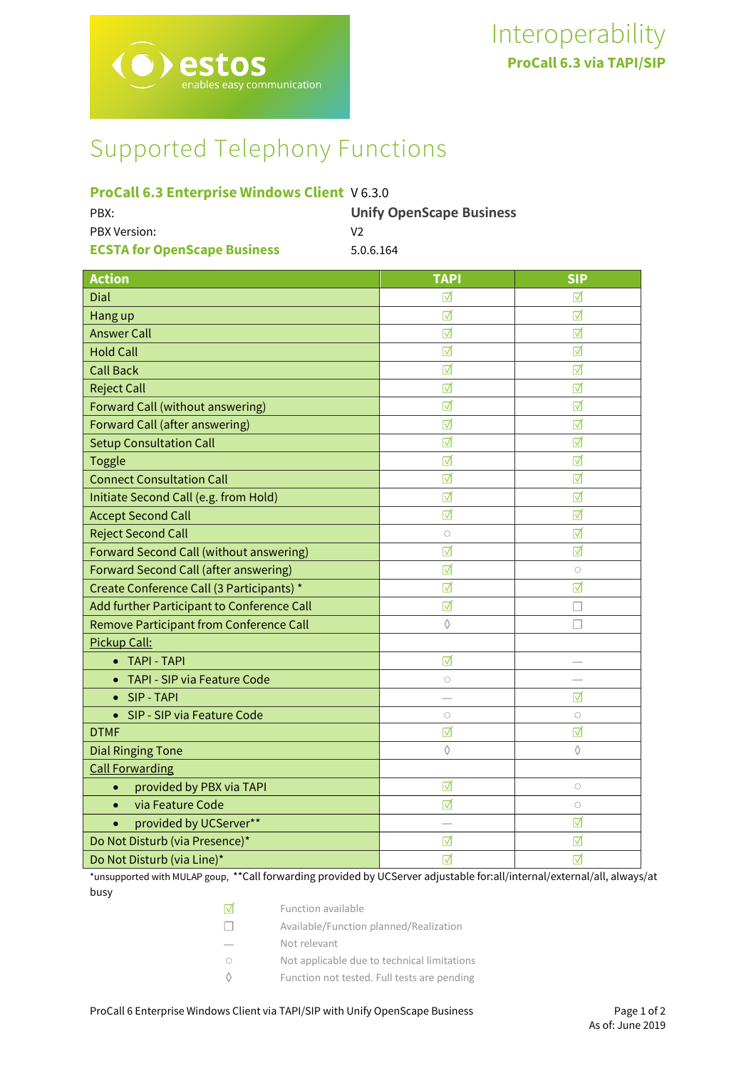# Supported Telephony Functions

## **ProCall 6.3 Enterprise Windows Client** V 6.3.0

| PBX:                                | <b>Unify OpenScape Business</b> |
|-------------------------------------|---------------------------------|
| <b>PBX Version:</b>                 | V2                              |
| <b>ECSTA for OpenScape Business</b> | 5.0.6.164                       |

| <b>Action</b>                                   | <b>TAPI</b> | <b>SIP</b>      |
|-------------------------------------------------|-------------|-----------------|
| Dial                                            | ⊓           | ⊺⊽              |
| Hang up                                         | ⊺⊽          | ⊺⊽              |
| <b>Answer Call</b>                              | ☑           | ⊺⊽              |
| <b>Hold Call</b>                                | ☑           | ⊺⊽              |
| <b>Call Back</b>                                | ☑           | ☑               |
| <b>Reject Call</b>                              | ☑           | ☑               |
| <b>Forward Call (without answering)</b>         | ☑           | 冈               |
| Forward Call (after answering)                  | ☑           | ⊺√              |
| <b>Setup Consultation Call</b>                  | ☑           | ☑               |
| <b>Toggle</b>                                   | ☑           | ☑               |
| <b>Connect Consultation Call</b>                | ☑           | ☑               |
| Initiate Second Call (e.g. from Hold)           | ☑           | $\triangledown$ |
| <b>Accept Second Call</b>                       | ☑           | ☑               |
| <b>Reject Second Call</b>                       | $\bigcirc$  | ☑               |
| Forward Second Call (without answering)         | ☑           | ⊺⊽              |
| <b>Forward Second Call (after answering)</b>    | ☑           | $\bigcirc$      |
| Create Conference Call (3 Participants) *       | ☑           | ☑               |
| Add further Participant to Conference Call      | ☑           | П               |
| Remove Participant from Conference Call         | ♦           |                 |
| Pickup Call:                                    |             |                 |
| • TAPI - TAPI                                   | ☑           |                 |
| <b>TAPI - SIP via Feature Code</b><br>$\bullet$ | $\circ$     |                 |
| SIP - TAPI                                      |             | ⊺⊽              |
| SIP - SIP via Feature Code<br>$\bullet$         | $\bigcirc$  | $\circ$         |
| <b>DTMF</b>                                     | ☑           | ☑               |
| <b>Dial Ringing Tone</b>                        | $\Diamond$  | ♦               |
| <b>Call Forwarding</b>                          |             |                 |
| provided by PBX via TAPI<br>$\bullet$           | ☑           | $\circ$         |
| via Feature Code<br>$\bullet$                   | ☑           | $\circ$         |
| provided by UCServer**<br>$\bullet$             |             | ⊺⊽              |
| Do Not Disturb (via Presence)*                  | ☑           | ☑               |
| Do Not Disturb (via Line)*                      | ☑           | ☑               |

\*unsupported with MULAP goup, \*\*Call forwarding provided by UCServer adjustable for:all/internal/external/all, always/at busy

| ⋈            | Function available                          |
|--------------|---------------------------------------------|
| $\mathbf{1}$ | Available/Function planned/Realization      |
|              | Not relevant                                |
| ∩            | Not applicable due to technical limitations |
|              | Function not tested. Full tests are pending |